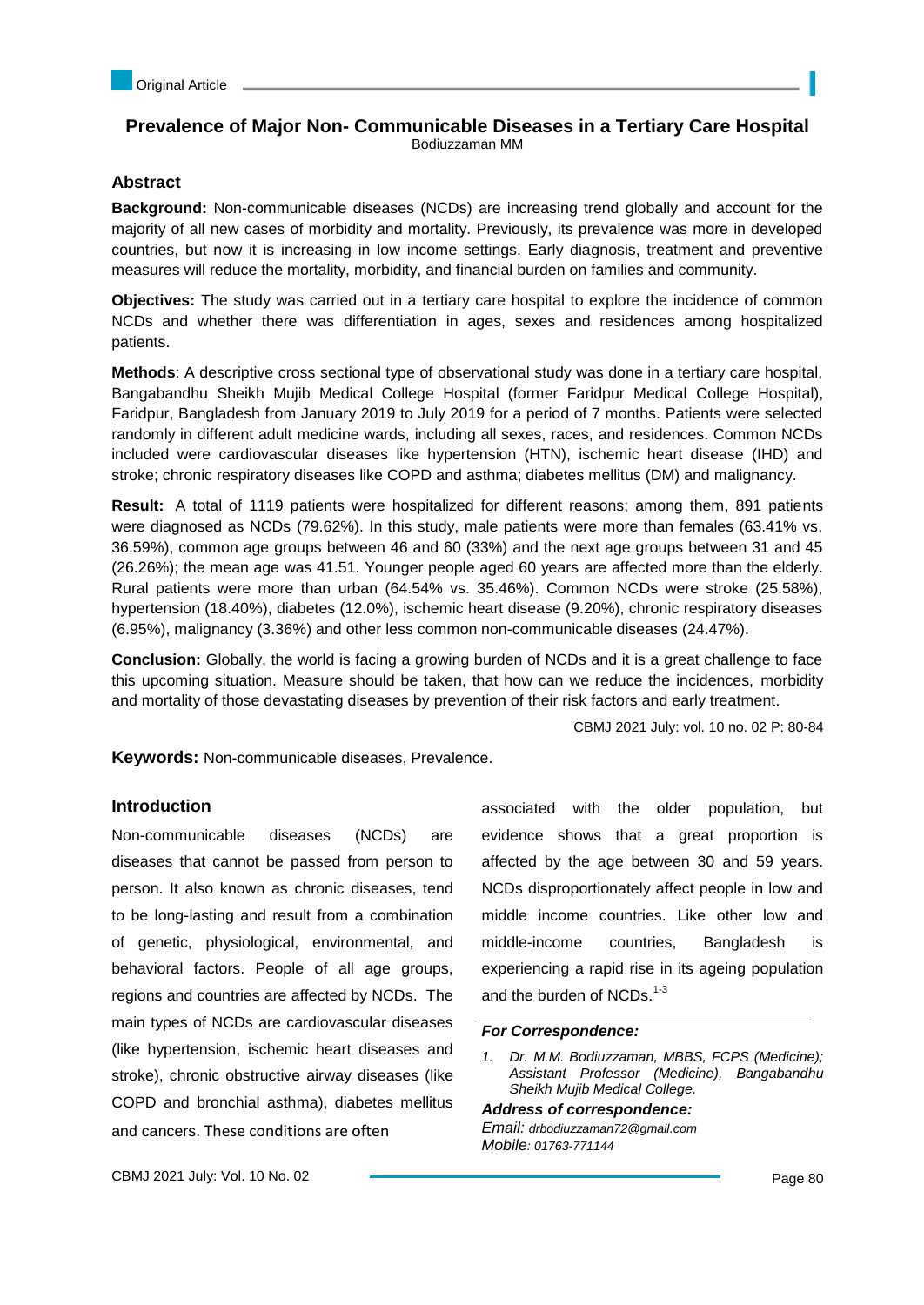# **Prevalence of Major Non- Communicable Diseases in a Tertiary Care Hospital** Bodiuzzaman MM

## **Abstract**

**Background:** Non-communicable diseases (NCDs) are increasing trend globally and account for the majority of all new cases of morbidity and mortality. Previously, its prevalence was more in developed countries, but now it is increasing in low income settings. Early diagnosis, treatment and preventive measures will reduce the mortality, morbidity, and financial burden on families and community.

**Objectives:** The study was carried out in a tertiary care hospital to explore the incidence of common NCDs and whether there was differentiation in ages, sexes and residences among hospitalized patients.

**Methods**: A descriptive cross sectional type of observational study was done in a tertiary care hospital, Bangabandhu Sheikh Mujib Medical College Hospital (former Faridpur Medical College Hospital), Faridpur, Bangladesh from January 2019 to July 2019 for a period of 7 months. Patients were selected randomly in different adult medicine wards, including all sexes, races, and residences. Common NCDs included were cardiovascular diseases like hypertension (HTN), ischemic heart disease (IHD) and stroke; chronic respiratory diseases like COPD and asthma; diabetes mellitus (DM) and malignancy.

**Result:** A total of 1119 patients were hospitalized for different reasons; among them, 891 patients were diagnosed as NCDs (79.62%). In this study, male patients were more than females (63.41% vs. 36.59%), common age groups between 46 and 60 (33%) and the next age groups between 31 and 45 (26.26%); the mean age was 41.51. Younger people aged 60 years are affected more than the elderly. Rural patients were more than urban (64.54% vs. 35.46%). Common NCDs were stroke (25.58%), hypertension (18.40%), diabetes (12.0%), ischemic heart disease (9.20%), chronic respiratory diseases (6.95%), malignancy (3.36%) and other less common non-communicable diseases (24.47%).

**Conclusion:** Globally, the world is facing a growing burden of NCDs and it is a great challenge to face this upcoming situation. Measure should be taken, that how can we reduce the incidences, morbidity and mortality of those devastating diseases by prevention of their risk factors and early treatment.

CBMJ 2021 July: vol. 10 no. 02 P: 80-84

**Keywords:** Non-communicable diseases, Prevalence.

## **Introduction**

Non-communicable diseases (NCDs) are diseases that cannot be passed from person to person. It also known as chronic diseases, tend to be long-lasting and result from a combination of genetic, physiological, environmental, and behavioral factors. People of all age groups, regions and countries are affected by NCDs. The main types of NCDs are cardiovascular diseases (like hypertension, ischemic heart diseases and stroke), chronic obstructive airway diseases (like COPD and bronchial asthma), diabetes mellitus and cancers. These conditions are often

associated with the older population, but evidence shows that a great proportion is affected by the age between 30 and 59 years. NCDs disproportionately affect people in low and middle income countries. Like other low and middle-income countries, Bangladesh is experiencing a rapid rise in its ageing population and the burden of NCDs. $1-3$ 

#### *For Correspondence:*

*1. Dr. M.M. Bodiuzzaman, MBBS, FCPS (Medicine); Assistant Professor (Medicine), Bangabandhu Sheikh Mujib Medical College.*

*Address of correspondence: Email: drbodiuzzaman72@gmail.com Mobile: 01763-771144*

CBMJ 2021 July: Vol. 10 No. 02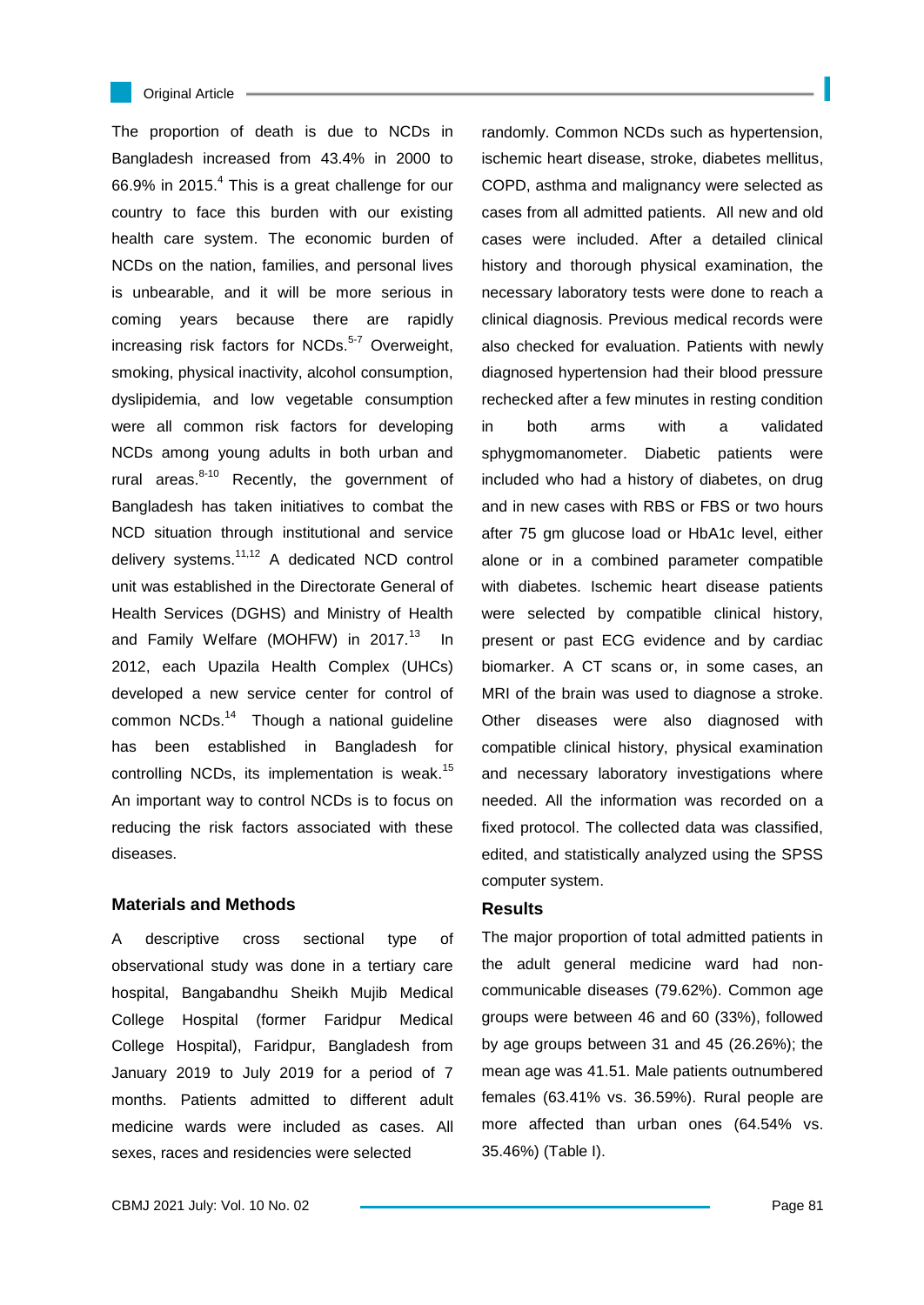

#### Original Article

The proportion of death is due to NCDs in Bangladesh increased from 43.4% in 2000 to 66.9% in 2015. $4$  This is a great challenge for our country to face this burden with our existing health care system. The economic burden of NCDs on the nation, families, and personal lives is unbearable, and it will be more serious in coming years because there are rapidly increasing risk factors for NCDs.<sup>5-7</sup> Overweight. smoking, physical inactivity, alcohol consumption, dyslipidemia, and low vegetable consumption were all common risk factors for developing NCDs among young adults in both urban and rural areas. $8-10$  Recently, the government of Bangladesh has taken initiatives to combat the NCD situation through institutional and service delivery systems.<sup>11,12</sup> A dedicated NCD control unit was established in the Directorate General of Health Services (DGHS) and Ministry of Health and Family Welfare (MOHFW) in 2017.<sup>13</sup> In 2012, each Upazila Health Complex (UHCs) developed a new service center for control of common NCDs.<sup>14</sup> Though a national guideline has been established in Bangladesh for controlling NCDs, its implementation is weak.<sup>15</sup> An important way to control NCDs is to focus on reducing the risk factors associated with these diseases.

### **Materials and Methods**

A descriptive cross sectional type of observational study was done in a tertiary care hospital, Bangabandhu Sheikh Mujib Medical College Hospital (former Faridpur Medical College Hospital), Faridpur, Bangladesh from January 2019 to July 2019 for a period of 7 months. Patients admitted to different adult medicine wards were included as cases. All sexes, races and residencies were selected

randomly. Common NCDs such as hypertension, ischemic heart disease, stroke, diabetes mellitus, COPD, asthma and malignancy were selected as cases from all admitted patients. All new and old cases were included. After a detailed clinical history and thorough physical examination, the necessary laboratory tests were done to reach a clinical diagnosis. Previous medical records were also checked for evaluation. Patients with newly diagnosed hypertension had their blood pressure rechecked after a few minutes in resting condition in both arms with a validated sphygmomanometer. Diabetic patients were included who had a history of diabetes, on drug and in new cases with RBS or FBS or two hours after 75 gm glucose load or HbA1c level, either alone or in a combined parameter compatible with diabetes. Ischemic heart disease patients were selected by compatible clinical history, present or past ECG evidence and by cardiac biomarker. A CT scans or, in some cases, an MRI of the brain was used to diagnose a stroke. Other diseases were also diagnosed with compatible clinical history, physical examination and necessary laboratory investigations where needed. All the information was recorded on a fixed protocol. The collected data was classified, edited, and statistically analyzed using the SPSS computer system.

### **Results**

The major proportion of total admitted patients in the adult general medicine ward had noncommunicable diseases (79.62%). Common age groups were between 46 and 60 (33%), followed by age groups between 31 and 45 (26.26%); the mean age was 41.51. Male patients outnumbered females (63.41% vs. 36.59%). Rural people are more affected than urban ones (64.54% vs. 35.46%) (Table I).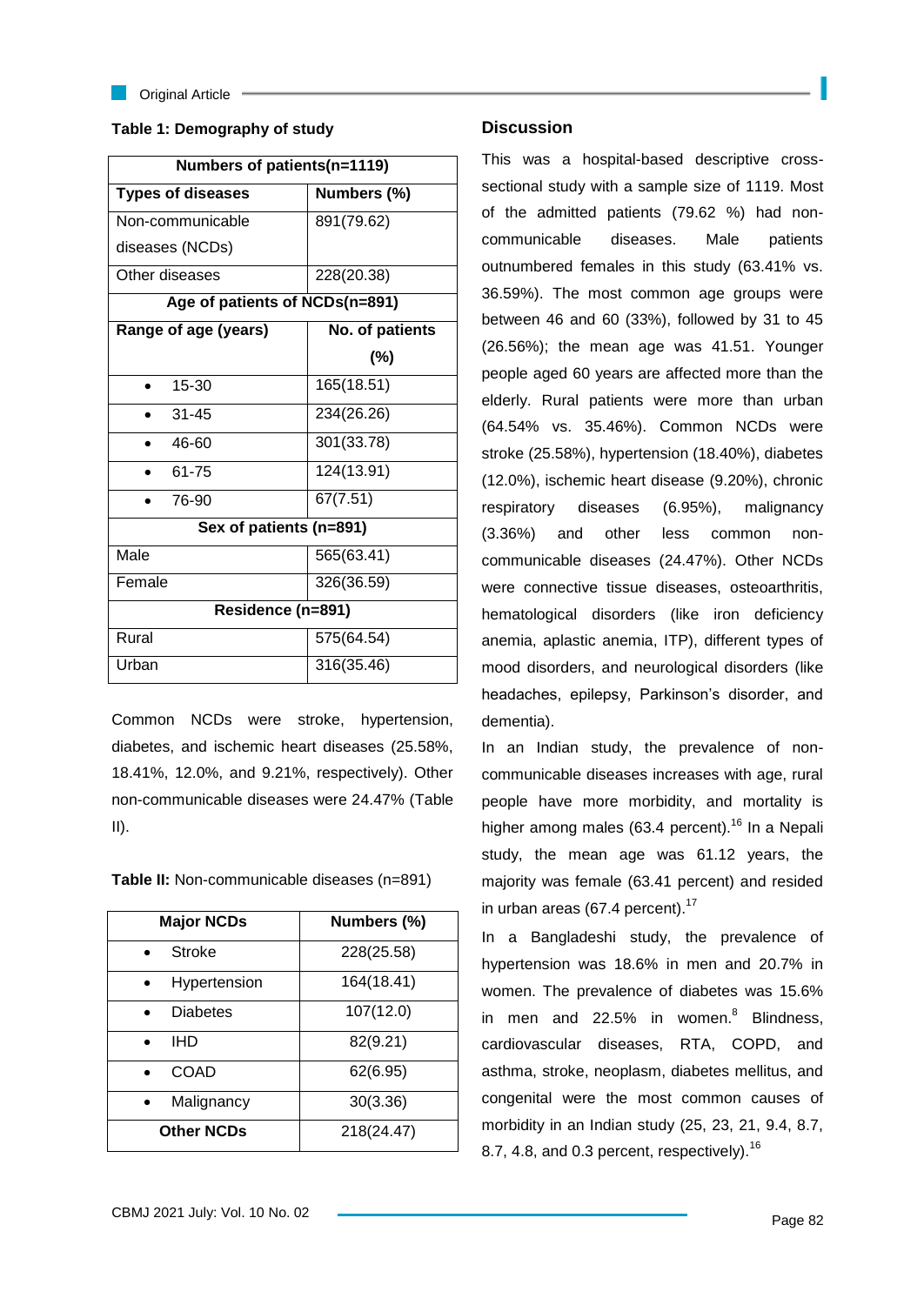

**Criginal Article** 

## **Table 1: Demography of study**

| Numbers of patients(n=1119)    |                 |  |
|--------------------------------|-----------------|--|
| <b>Types of diseases</b>       | Numbers (%)     |  |
| Non-communicable               | 891(79.62)      |  |
| diseases (NCDs)                |                 |  |
| Other diseases                 | 228(20.38)      |  |
| Age of patients of NCDs(n=891) |                 |  |
| Range of age (years)           | No. of patients |  |
|                                | (%)             |  |
| $15 - 30$                      | 165(18.51)      |  |
| $31 - 45$                      | 234(26.26)      |  |
| 46-60                          | 301(33.78)      |  |
| 61-75                          | 124(13.91)      |  |
| 76-90                          | 67(7.51)        |  |
| Sex of patients (n=891)        |                 |  |
| Male                           | 565(63.41)      |  |
| Female                         | 326(36.59)      |  |
| Residence (n=891)              |                 |  |
| Rural                          | 575(64.54)      |  |
| Urban                          | 316(35.46)      |  |

Common NCDs were stroke, hypertension, diabetes, and ischemic heart diseases (25.58%, 18.41%, 12.0%, and 9.21%, respectively). Other non-communicable diseases were 24.47% (Table II).

| Table II: Non-communicable diseases (n=891) |  |  |
|---------------------------------------------|--|--|
|---------------------------------------------|--|--|

| <b>Major NCDs</b> | Numbers (%) |
|-------------------|-------------|
| Stroke            | 228(25.58)  |
| Hypertension      | 164(18.41)  |
| <b>Diabetes</b>   | 107(12.0)   |
| IHD               | 82(9.21)    |
| COAD              | 62(6.95)    |
| Malignancy        | 30(3.36)    |
| <b>Other NCDs</b> | 218(24.47)  |

## **Discussion**

This was a hospital-based descriptive crosssectional study with a sample size of 1119. Most of the admitted patients (79.62 %) had noncommunicable diseases. Male patients outnumbered females in this study (63.41% vs. 36.59%). The most common age groups were between 46 and 60 (33%), followed by 31 to 45 (26.56%); the mean age was 41.51. Younger people aged 60 years are affected more than the elderly. Rural patients were more than urban (64.54% vs. 35.46%). Common NCDs were stroke (25.58%), hypertension (18.40%), diabetes (12.0%), ischemic heart disease (9.20%), chronic respiratory diseases (6.95%), malignancy (3.36%) and other less common noncommunicable diseases (24.47%). Other NCDs were connective tissue diseases, osteoarthritis, hematological disorders (like iron deficiency anemia, aplastic anemia, ITP), different types of mood disorders, and neurological disorders (like headaches, epilepsy, Parkinson's disorder, and dementia).

In an Indian study, the prevalence of noncommunicable diseases increases with age, rural people have more morbidity, and mortality is higher among males (63.4 percent).<sup>16</sup> In a Nepali study, the mean age was 61.12 years, the majority was female (63.41 percent) and resided in urban areas (67.4 percent). $17$ 

In a Bangladeshi study, the prevalence of hypertension was 18.6% in men and 20.7% in women. The prevalence of diabetes was 15.6% in men and 22.5% in women. $8$  Blindness, cardiovascular diseases, RTA, COPD, and asthma, stroke, neoplasm, diabetes mellitus, and congenital were the most common causes of morbidity in an Indian study (25, 23, 21, 9.4, 8.7, 8.7, 4.8, and 0.3 percent, respectively).<sup>16</sup>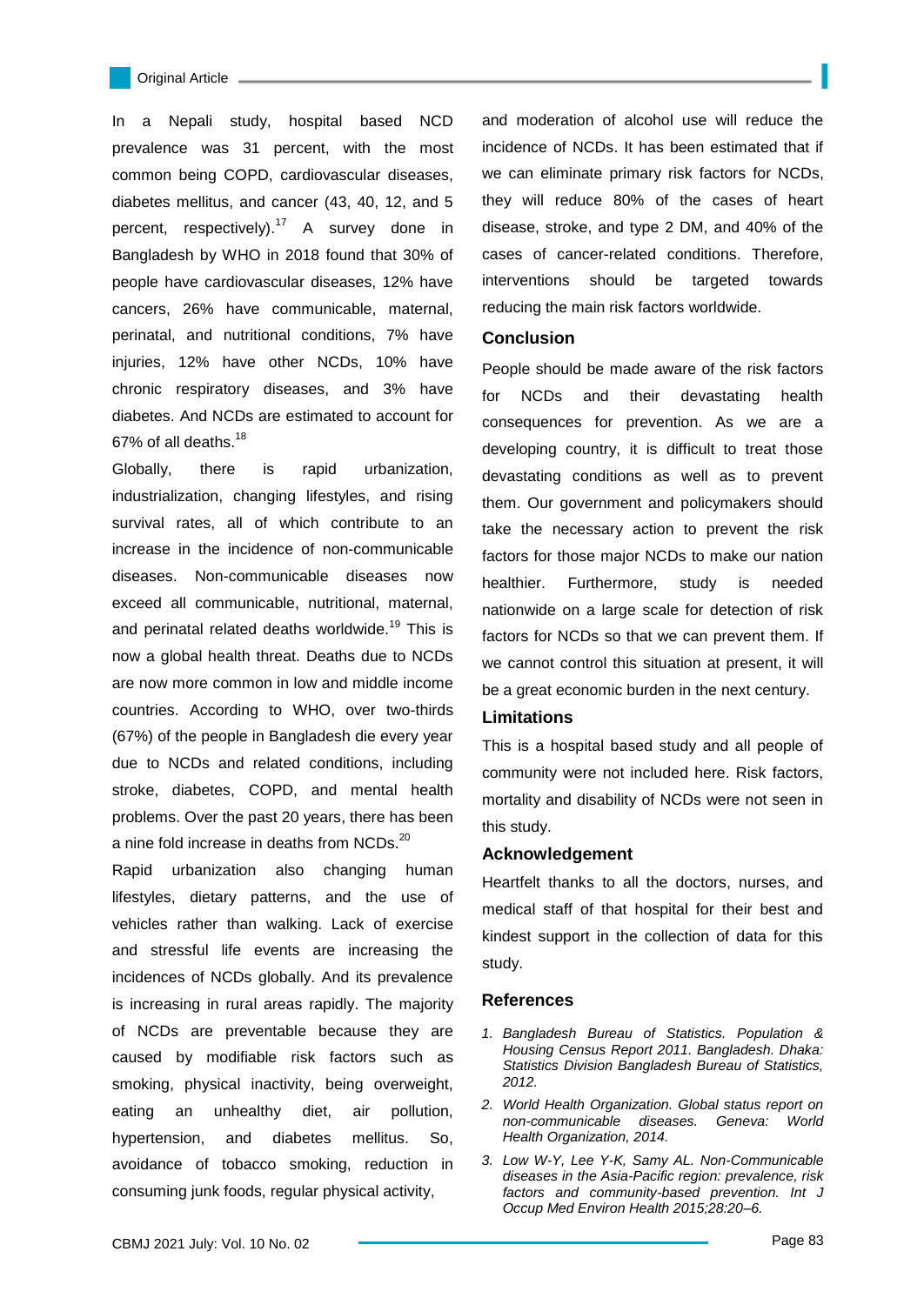In a Nepali study, hospital based NCD prevalence was 31 percent, with the most common being COPD, cardiovascular diseases, diabetes mellitus, and cancer (43, 40, 12, and 5 percent, respectively).<sup>17</sup> A survey done in Bangladesh by WHO in 2018 found that 30% of people have cardiovascular diseases, 12% have cancers, 26% have communicable, maternal, perinatal, and nutritional conditions, 7% have injuries, 12% have other NCDs, 10% have chronic respiratory diseases, and 3% have diabetes. And NCDs are estimated to account for 67% of all deaths.<sup>18</sup>

Globally, there is rapid urbanization, industrialization, changing lifestyles, and rising survival rates, all of which contribute to an increase in the incidence of non-communicable diseases. Non-communicable diseases now exceed all communicable, nutritional, maternal, and perinatal related deaths worldwide.<sup>19</sup> This is now a global health threat. Deaths due to NCDs are now more common in low and middle income countries. According to WHO, over two-thirds (67%) of the people in Bangladesh die every year due to NCDs and related conditions, including stroke, diabetes, COPD, and mental health problems. Over the past 20 years, there has been a nine fold increase in deaths from NCDs.<sup>20</sup>

Rapid urbanization also changing human lifestyles, dietary patterns, and the use of vehicles rather than walking. Lack of exercise and stressful life events are increasing the incidences of NCDs globally. And its prevalence is increasing in rural areas rapidly. The majority of NCDs are preventable because they are caused by modifiable risk factors such as smoking, physical inactivity, being overweight, eating an unhealthy diet, air pollution, hypertension, and diabetes mellitus. So, avoidance of tobacco smoking, reduction in consuming junk foods, regular physical activity,

and moderation of alcohol use will reduce the incidence of NCDs. It has been estimated that if we can eliminate primary risk factors for NCDs, they will reduce 80% of the cases of heart disease, stroke, and type 2 DM, and 40% of the cases of cancer-related conditions. Therefore, interventions should be targeted towards reducing the main risk factors worldwide.

#### **Conclusion**

People should be made aware of the risk factors for NCDs and their devastating health consequences for prevention. As we are a developing country, it is difficult to treat those devastating conditions as well as to prevent them. Our government and policymakers should take the necessary action to prevent the risk factors for those major NCDs to make our nation healthier. Furthermore, study is needed nationwide on a large scale for detection of risk factors for NCDs so that we can prevent them. If we cannot control this situation at present, it will be a great economic burden in the next century.

### **Limitations**

This is a hospital based study and all people of community were not included here. Risk factors, mortality and disability of NCDs were not seen in this study.

### **Acknowledgement**

Heartfelt thanks to all the doctors, nurses, and medical staff of that hospital for their best and kindest support in the collection of data for this study.

#### **References**

- *1. Bangladesh Bureau of Statistics. Population & Housing Census Report 2011. Bangladesh. Dhaka: Statistics Division Bangladesh Bureau of Statistics, 2012.*
- *2. World Health Organization. Global status report on non-communicable diseases. Geneva: World Health Organization, 2014.*
- *3. Low W-Y, Lee Y-K, Samy AL. Non-Communicable diseases in the Asia-Pacific region: prevalence, risk factors and community-based prevention. Int J Occup Med Environ Health 2015;28:20–6.*